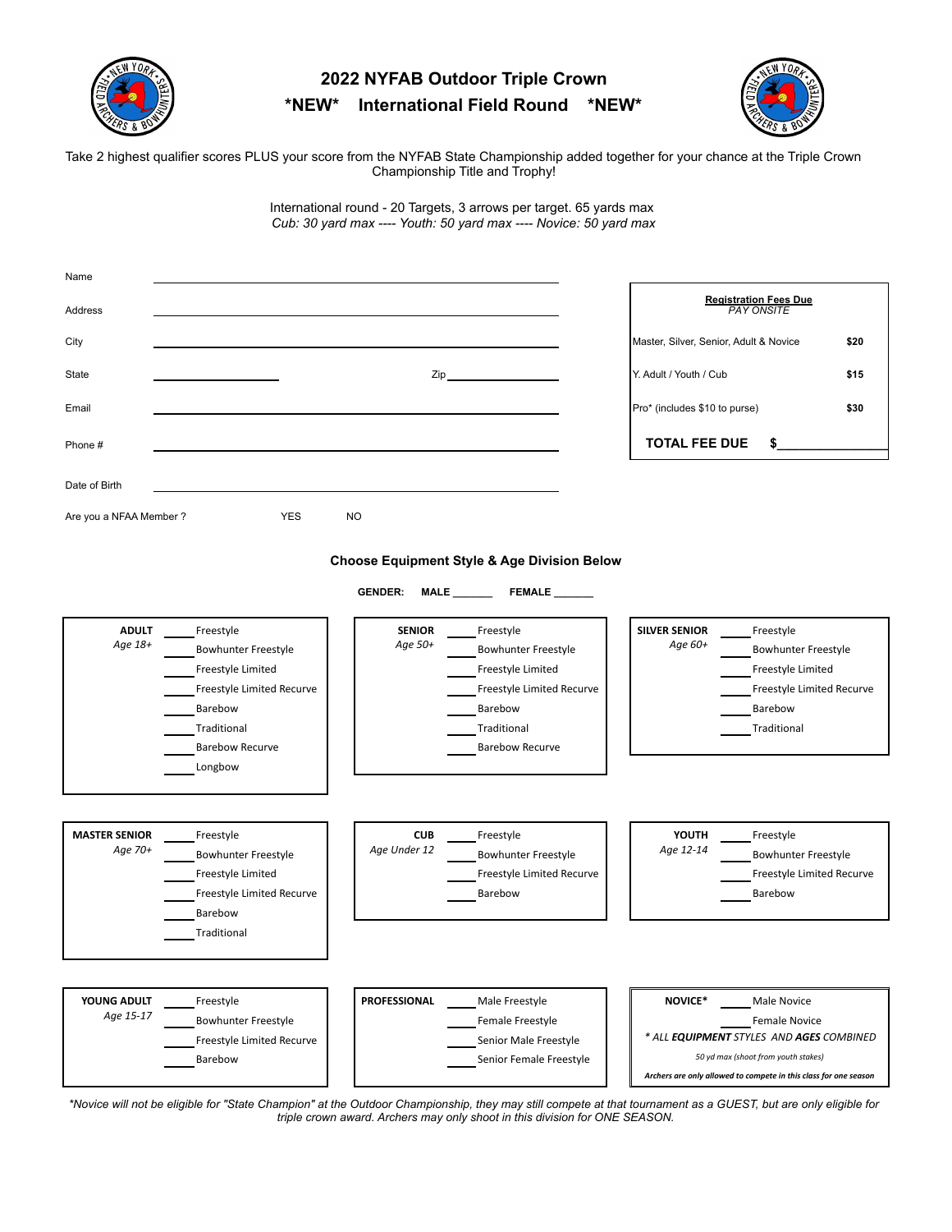

### **2022 NYFAB Outdoor Triple Crown \*NEW\* International Field Round \*NEW\***



 Take 2 highest qualifier scores PLUS your score from the NYFAB State Championship added together for your chance at the Triple Crown Championship Title and Trophy!

> International round - 20 Targets, 3 arrows per target. 65 yards max *Cub: 30 yard max ---- Youth: 50 yard max ---- Novice: 50 yard max*



*\*Novice will not be eligible for "State Champion" at the Outdoor Championship, they may still compete at that tournament as a GUEST, but are only eligible for triple crown award. Archers may only shoot in this division for ONE SEASON.*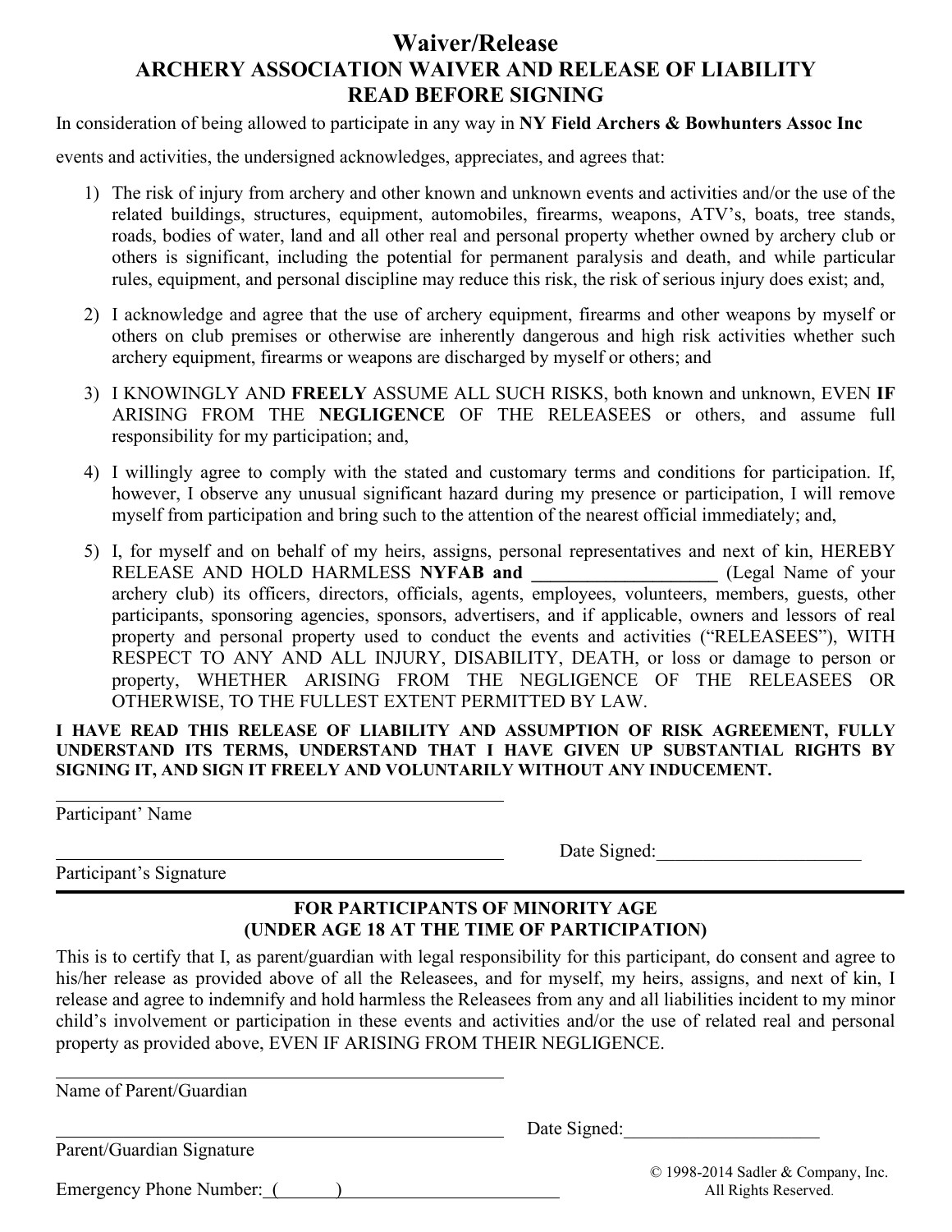# **Waiver/Release ARCHERY ASSOCIATION WAIVER AND RELEASE OF LIABILITY READ BEFORE SIGNING**

In consideration of being allowed to participate in any way in **NY Field Archers & Bowhunters Assoc Inc**

events and activities, the undersigned acknowledges, appreciates, and agrees that:

- 1) The risk of injury from archery and other known and unknown events and activities and/or the use of the related buildings, structures, equipment, automobiles, firearms, weapons, ATV's, boats, tree stands, roads, bodies of water, land and all other real and personal property whether owned by archery club or others is significant, including the potential for permanent paralysis and death, and while particular rules, equipment, and personal discipline may reduce this risk, the risk of serious injury does exist; and,
- 2) I acknowledge and agree that the use of archery equipment, firearms and other weapons by myself or others on club premises or otherwise are inherently dangerous and high risk activities whether such archery equipment, firearms or weapons are discharged by myself or others; and
- 3) I KNOWINGLY AND **FREELY** ASSUME ALL SUCH RISKS, both known and unknown, EVEN **IF** ARISING FROM THE **NEGLIGENCE** OF THE RELEASEES or others, and assume full responsibility for my participation; and,
- 4) I willingly agree to comply with the stated and customary terms and conditions for participation. If, however, I observe any unusual significant hazard during my presence or participation, I will remove myself from participation and bring such to the attention of the nearest official immediately; and,
- 5) I, for myself and on behalf of my heirs, assigns, personal representatives and next of kin, HEREBY RELEASE AND HOLD HARMLESS **NYFAB and** (Legal Name of your archery club) its officers, directors, officials, agents, employees, volunteers, members, guests, other participants, sponsoring agencies, sponsors, advertisers, and if applicable, owners and lessors of real property and personal property used to conduct the events and activities ("RELEASEES"), WITH RESPECT TO ANY AND ALL INJURY, DISABILITY, DEATH, or loss or damage to person or property, WHETHER ARISING FROM THE NEGLIGENCE OF THE RELEASEES OR OTHERWISE, TO THE FULLEST EXTENT PERMITTED BY LAW.

**I HAVE READ THIS RELEASE OF LIABILITY AND ASSUMPTION OF RISK AGREEMENT, FULLY UNDERSTAND ITS TERMS, UNDERSTAND THAT I HAVE GIVEN UP SUBSTANTIAL RIGHTS BY SIGNING IT, AND SIGN IT FREELY AND VOLUNTARILY WITHOUT ANY INDUCEMENT.**

Participant' Name

Participant's Signature

Date Signed:

### **FOR PARTICIPANTS OF MINORITY AGE (UNDER AGE 18 AT THE TIME OF PARTICIPATION)**

This is to certify that I, as parent/guardian with legal responsibility for this participant, do consent and agree to his/her release as provided above of all the Releasees, and for myself, my heirs, assigns, and next of kin, I release and agree to indemnify and hold harmless the Releasees from any and all liabilities incident to my minor child's involvement or participation in these events and activities and/or the use of related real and personal property as provided above, EVEN IF ARISING FROM THEIR NEGLIGENCE.

Name of Parent/Guardian

Parent/Guardian Signature

Emergency Phone Number:  $($ 

Date Signed:

© 1998-2014 Sadler & Company, Inc. All Rights Reserved.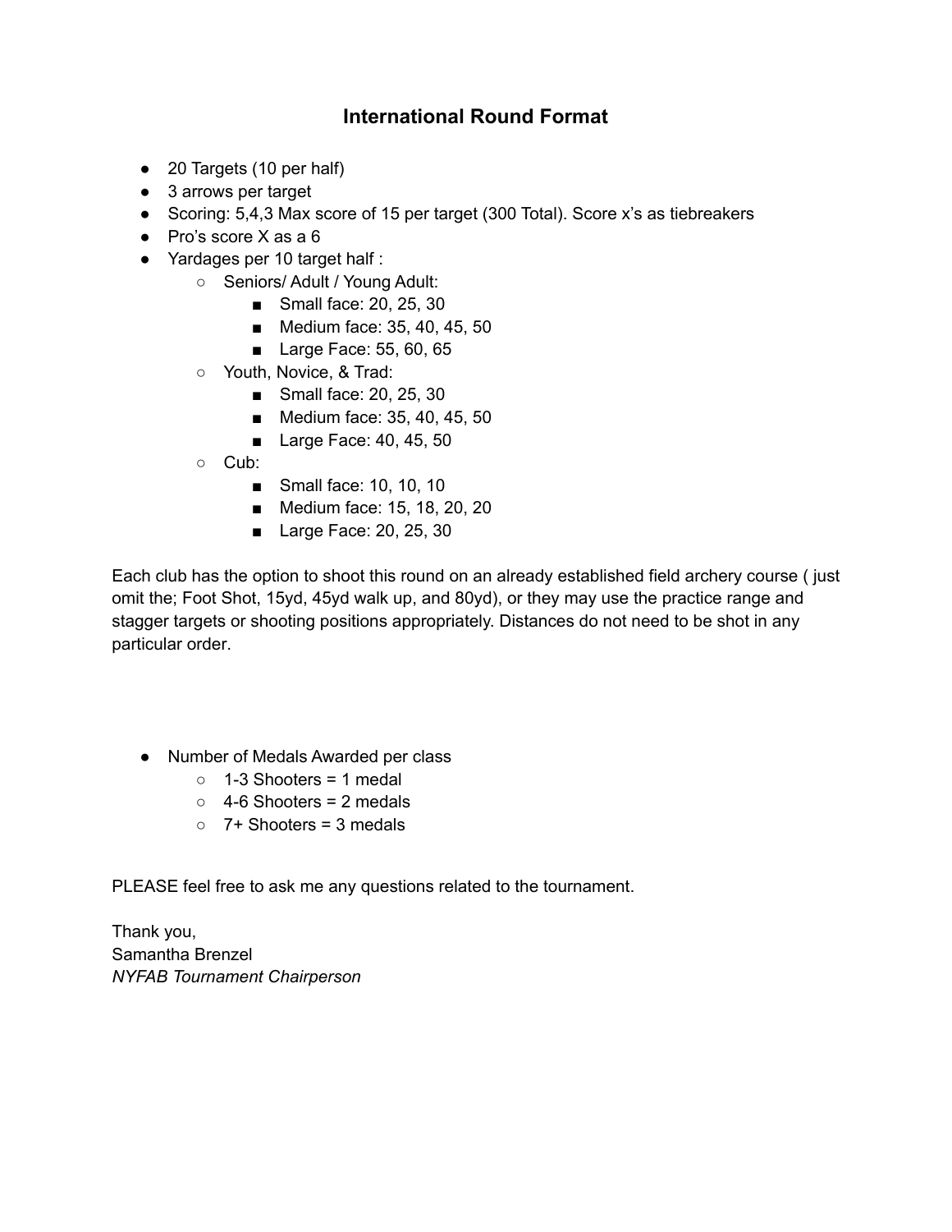## **International Round Format**

- 20 Targets (10 per half)
- 3 arrows per target
- Scoring: 5,4,3 Max score of 15 per target (300 Total). Score x's as tiebreakers
- Pro's score X as a 6
- Yardages per 10 target half :
	- Seniors/ Adult / Young Adult:
		- Small face: 20, 25, 30
		- Medium face: 35, 40, 45, 50
		- Large Face: 55, 60, 65
	- Youth, Novice, & Trad:
		- Small face: 20, 25, 30
		- Medium face: 35, 40, 45, 50
		- Large Face: 40, 45, 50
	- Cub:
		- Small face: 10, 10, 10
		- Medium face: 15, 18, 20, 20
		- Large Face: 20, 25, 30

Each club has the option to shoot this round on an already established field archery course ( just omit the; Foot Shot, 15yd, 45yd walk up, and 80yd), or they may use the practice range and stagger targets or shooting positions appropriately. Distances do not need to be shot in any particular order.

- Number of Medals Awarded per class
	- $\circ$  1-3 Shooters = 1 medal
	- $\circ$  4-6 Shooters = 2 medals
	- $\circ$  7+ Shooters = 3 medals

PLEASE feel free to ask me any questions related to the tournament.

Thank you, Samantha Brenzel *NYFAB Tournament Chairperson*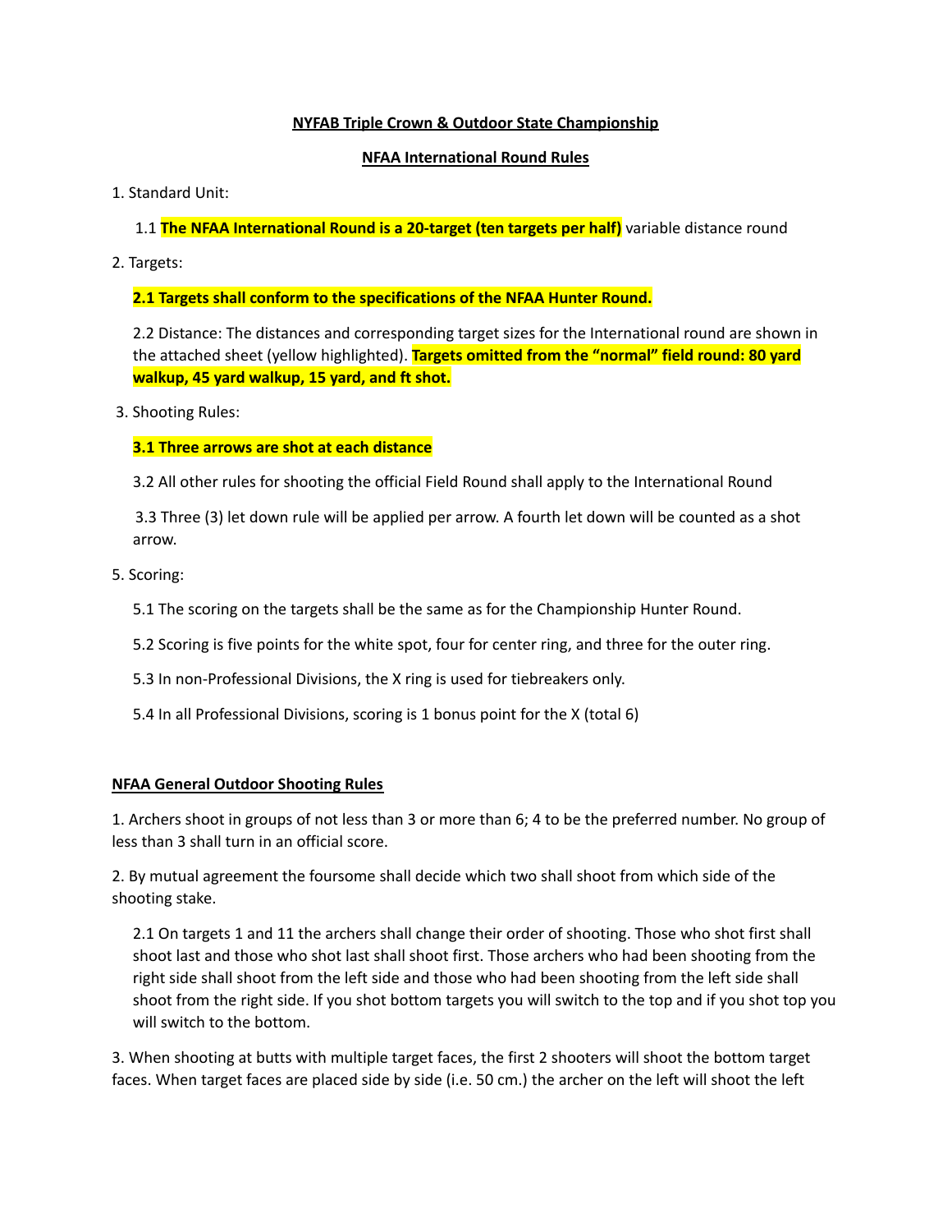#### **NYFAB Triple Crown & Outdoor State Championship**

#### **NFAA International Round Rules**

#### 1. Standard Unit:

1.1 **The NFAA International Round is a 20-target (ten targets per half)** variable distance round

2. Targets:

#### **2.1 Targets shall conform to the specifications of the NFAA Hunter Round.**

2.2 Distance: The distances and corresponding target sizes for the International round are shown in the attached sheet (yellow highlighted). **Targets omitted from the "normal" field round: 80 yard walkup, 45 yard walkup, 15 yard, and ft shot.**

3. Shooting Rules:

#### **3.1 Three arrows are shot at each distance**

3.2 All other rules for shooting the official Field Round shall apply to the International Round

3.3 Three (3) let down rule will be applied per arrow. A fourth let down will be counted as a shot arrow.

- 5. Scoring:
	- 5.1 The scoring on the targets shall be the same as for the Championship Hunter Round.
	- 5.2 Scoring is five points for the white spot, four for center ring, and three for the outer ring.
	- 5.3 In non-Professional Divisions, the X ring is used for tiebreakers only.
	- 5.4 In all Professional Divisions, scoring is 1 bonus point for the X (total 6)

#### **NFAA General Outdoor Shooting Rules**

1. Archers shoot in groups of not less than 3 or more than 6; 4 to be the preferred number. No group of less than 3 shall turn in an official score.

2. By mutual agreement the foursome shall decide which two shall shoot from which side of the shooting stake.

2.1 On targets 1 and 11 the archers shall change their order of shooting. Those who shot first shall shoot last and those who shot last shall shoot first. Those archers who had been shooting from the right side shall shoot from the left side and those who had been shooting from the left side shall shoot from the right side. If you shot bottom targets you will switch to the top and if you shot top you will switch to the bottom.

3. When shooting at butts with multiple target faces, the first 2 shooters will shoot the bottom target faces. When target faces are placed side by side (i.e. 50 cm.) the archer on the left will shoot the left